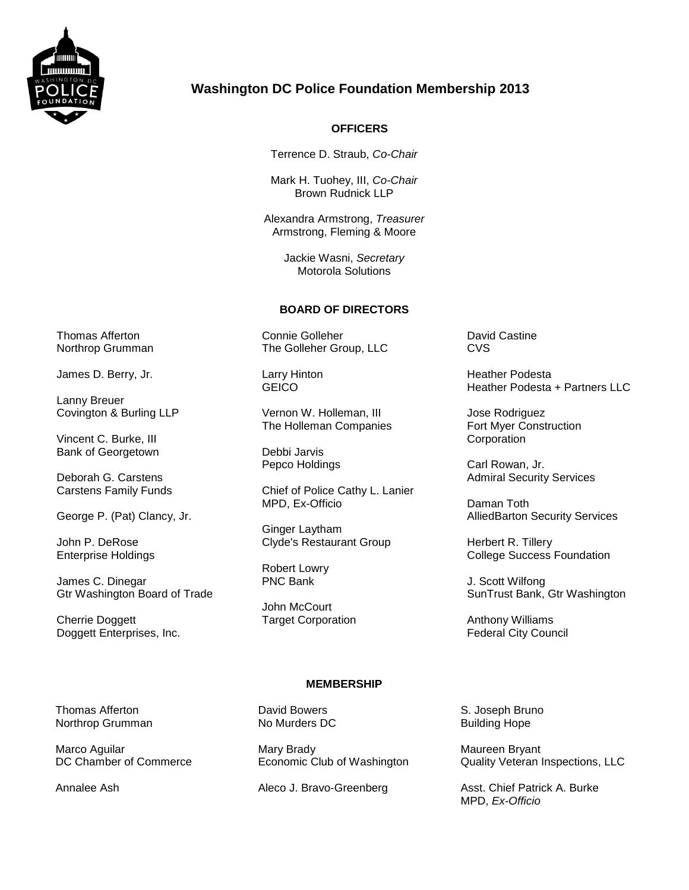

# **Washington DC Police Foundation Membership 2013**

# **OFFICERS**

Terrence D. Straub, *Co-Chair*

Mark H. Tuohey, III, *Co-Chair* Brown Rudnick LLP

Alexandra Armstrong, *Treasurer* Armstrong, Fleming & Moore

> Jackie Wasni, *Secretary* Motorola Solutions

### **BOARD OF DIRECTORS**

Connie Golleher The Golleher Group, LLC

Larry Hinton **GEICO** 

Vernon W. Holleman, III The Holleman Companies

Debbi Jarvis Pepco Holdings

Chief of Police Cathy L. Lanier MPD, Ex-Officio

Ginger Laytham Clyde's Restaurant Group

Robert Lowry PNC Bank

John McCourt Target Corporation

#### David Castine **CVS**

Heather Podesta Heather Podesta + Partners LLC

Jose Rodriguez Fort Myer Construction **Corporation** 

Carl Rowan, Jr. Admiral Security Services

Daman Toth AlliedBarton Security Services

Herbert R. Tillery College Success Foundation

J. Scott Wilfong SunTrust Bank, Gtr Washington

Anthony Williams Federal City Council

Thomas Afferton Northrop Grumman

Marco Aguilar DC Chamber of Commerce

Annalee Ash

## **MEMBERSHIP**

David Bowers No Murders DC

Mary Brady Economic Club of Washington

Aleco J. Bravo-Greenberg

S. Joseph Bruno Building Hope

Maureen Bryant Quality Veteran Inspections, LLC

Asst. Chief Patrick A. Burke MPD, *Ex-Officio*

Thomas Afferton Northrop Grumman

James D. Berry, Jr.

Lanny Breuer Covington & Burling LLP

Vincent C. Burke, III Bank of Georgetown

Deborah G. Carstens Carstens Family Funds

George P. (Pat) Clancy, Jr.

John P. DeRose Enterprise Holdings

James C. Dinegar Gtr Washington Board of Trade

Cherrie Doggett Doggett Enterprises, Inc.